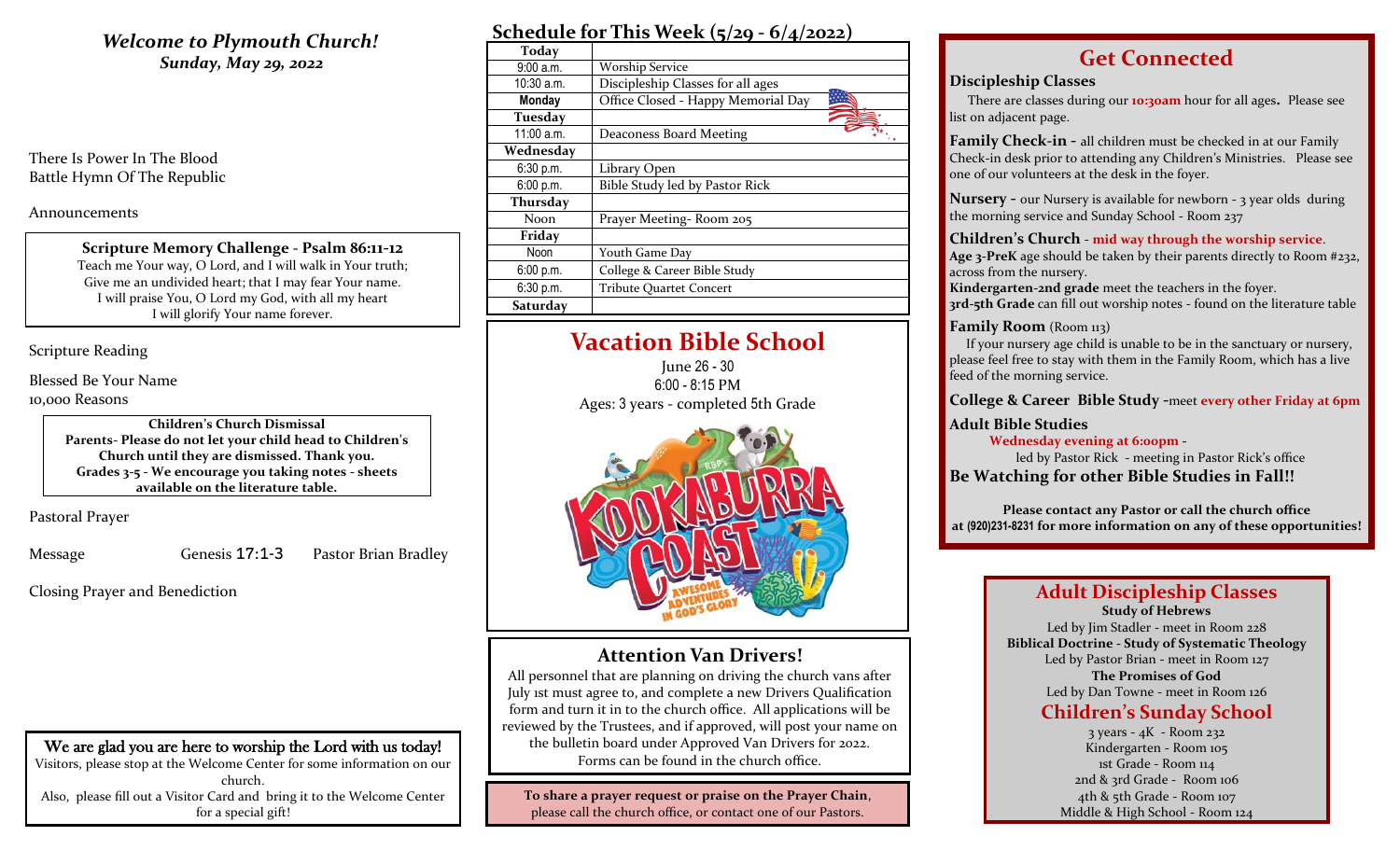# **Welcome to Plymouth Church!** *Sunday, May 29, 2022*

There Is Power In The Blood Battle Hymn Of The Republic

Announcements

**Scripture Memory Challenge - Psalm 86:11-12** Teach me Your way, O Lord, and I will walk in Your truth; Give me an undivided heart; that I may fear Your name. I will praise You, O Lord my God, with all my heart I will glorify Your name forever.

Scripture Reading

Blessed Be Your Name 10,000 Reasons

> **Children's Church Dismissal Parents- Please do not let your child head to Children's Church until they are dismissed. Thank you. Grades 3-5 - We encourage you taking notes - sheets available on the literature table.**

Pastoral Prayer

Message Genesis 17:1-3 Pastor Brian Bradley

Closing Prayer and Benediction

| Schedule for This Week $(5/29 - 6/4/2022)$ |  |  |  |
|--------------------------------------------|--|--|--|
|                                            |  |  |  |

| 9:00a.m.<br><b>Worship Service</b><br>$10:30$ a.m.<br>Discipleship Classes for all ages<br>Office Closed - Happy Memorial Day<br><b>Monday</b><br>Tuesday<br>11:00 a.m.<br>Deaconess Board Meeting<br>Wednesday<br>6:30 p.m.<br>Library Open<br>6:00 p.m.<br>Bible Study led by Pastor Rick<br>Thursday<br>Noon.<br>Prayer Meeting-Room 205<br>Friday<br>Noon<br>Youth Game Day | Today     |                              |
|---------------------------------------------------------------------------------------------------------------------------------------------------------------------------------------------------------------------------------------------------------------------------------------------------------------------------------------------------------------------------------|-----------|------------------------------|
|                                                                                                                                                                                                                                                                                                                                                                                 |           |                              |
|                                                                                                                                                                                                                                                                                                                                                                                 |           |                              |
|                                                                                                                                                                                                                                                                                                                                                                                 |           |                              |
|                                                                                                                                                                                                                                                                                                                                                                                 |           |                              |
|                                                                                                                                                                                                                                                                                                                                                                                 |           |                              |
|                                                                                                                                                                                                                                                                                                                                                                                 |           |                              |
|                                                                                                                                                                                                                                                                                                                                                                                 |           |                              |
|                                                                                                                                                                                                                                                                                                                                                                                 |           |                              |
|                                                                                                                                                                                                                                                                                                                                                                                 |           |                              |
|                                                                                                                                                                                                                                                                                                                                                                                 |           |                              |
|                                                                                                                                                                                                                                                                                                                                                                                 |           |                              |
|                                                                                                                                                                                                                                                                                                                                                                                 |           |                              |
|                                                                                                                                                                                                                                                                                                                                                                                 | 6:00 p.m. | College & Career Bible Study |
| 6:30 p.m.<br><b>Tribute Quartet Concert</b>                                                                                                                                                                                                                                                                                                                                     |           |                              |
| Saturday                                                                                                                                                                                                                                                                                                                                                                        |           |                              |

# **Vacation Bible School**

June 26 - 30 6:00 - 8:15 PM Ages: 3 years - completed 5th Grade



## **Attention Van Drivers!**

All personnel that are planning on driving the church vans after July 1st must agree to, and complete a new Drivers Qualification form and turn it in to the church office. All applications will be reviewed by the Trustees, and if approved, will post your name on the bulletin board under Approved Van Drivers for 2022. Forms can be found in the church office.

**To share a prayer request or praise on the Prayer Chain**, please call the church office, or contact one of our Pastors.

# **Get Connected**

### **Discipleship Classes**

There are classes during our **10:30am** hour for all ages**.** Please see list on adjacent page.

**Family Check-in -** all children must be checked in at our Family Check-in desk prior to attending any Children's Ministries. Please see one of our volunteers at the desk in the foyer.

**Nursery -** our Nursery is available for newborn - 3 year olds during the morning service and Sunday School - Room 237

### **Children's Church** - **mid way through the worship service**.

**Age 3-PreK** age should be taken by their parents directly to Room #232, across from the nursery.

**Kindergarten-2nd grade** meet the teachers in the foyer. **3rd-5th Grade** can fill out worship notes - found on the literature table

### **Family Room** (Room 113)

 If your nursery age child is unable to be in the sanctuary or nursery, please feel free to stay with them in the Family Room, which has a live feed of the morning service.

### **College & Career Bible Study -**meet **every other Friday at 6pm**

### **Adult Bible Studies**

 **Wednesday evening at 6:00pm -**

led by Pastor Rick - meeting in Pastor Rick's office **Be Watching for other Bible Studies in Fall!!**

**Please contact any Pastor or call the church office at (920)231-8231 for more information on any of these opportunities!**

### **Adult Discipleship Classes Study of Hebrews**

Led by Jim Stadler - meet in Room 228 **Biblical Doctrine - Study of Systematic Theology** Led by Pastor Brian - meet in Room 127 **The Promises of God** Led by Dan Towne - meet in Room 126

# **Children's Sunday School**

3 years - 4K - Room 232 Kindergarten - Room 105 1st Grade - Room 114 2nd & 3rd Grade - Room 106 4th & 5th Grade - Room 107 Middle & High School - Room 124

We are glad you are here to worship the Lord with us today! Visitors, please stop at the Welcome Center for some information on our church. Also, please fill out a Visitor Card and bring it to the Welcome Center for a special gift!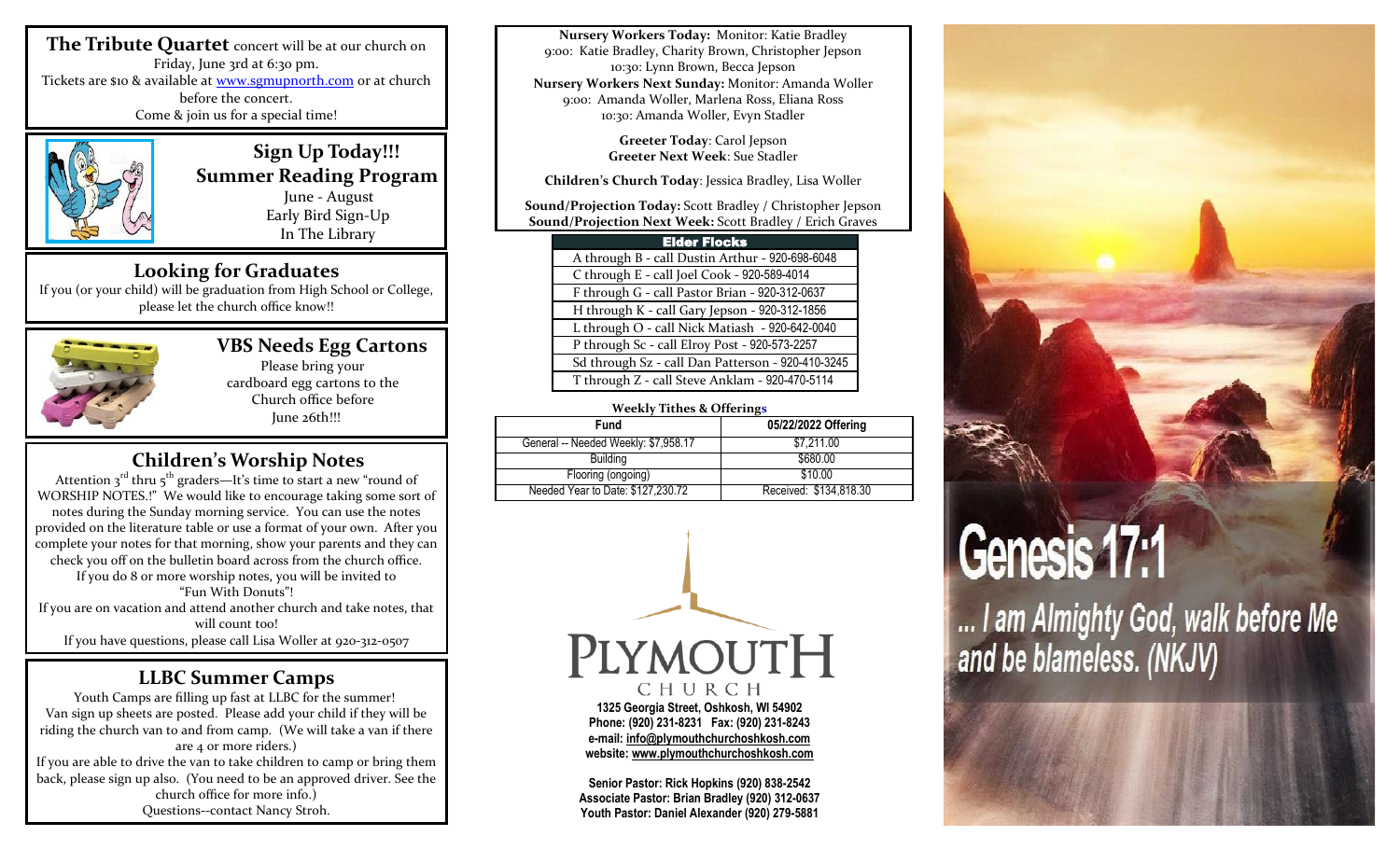**The Tribute Quartet** concert will be at our church on Friday, June 3rd at 6:30 pm. Tickets are \$10 & available at [www.sgmupnorth.com](http://www.sgmupnorth.com/) or at church before the concert. Come & join us for a special time!



 **Sign Up Today!!! Summer Reading Program** June - August Early Bird Sign-Up

In The Library

## **Looking for Graduates**

If you (or your child) will be graduation from High School or College, please let the church office know!!



# **VBS Needs Egg Cartons**

Please bring your cardboard egg cartons to the Church office before June 26th!!!

# **Children's Worship Notes**

Attention  $3^{rd}$  thru  $5^{th}$  graders—It's time to start a new "round of WORSHIP NOTES.!" We would like to encourage taking some sort of notes during the Sunday morning service. You can use the notes provided on the literature table or use a format of your own. After you complete your notes for that morning, show your parents and they can check you off on the bulletin board across from the church office. If you do 8 or more worship notes, you will be invited to "Fun With Donuts"! If you are on vacation and attend another church and take notes, that will count too! If you have questions, please call Lisa Woller at 920-312-0507

## **LLBC Summer Camps**

Youth Camps are filling up fast at LLBC for the summer! Van sign up sheets are posted. Please add your child if they will be riding the church van to and from camp. (We will take a van if there are 4 or more riders.) If you are able to drive the van to take children to camp or bring them back, please sign up also. (You need to be an approved driver. See the church office for more info.) Questions--contact Nancy Stroh.

**Nursery Workers Today:** Monitor: Katie Bradley 9:00: Katie Bradley, Charity Brown, Christopher Jepson 10:30: Lynn Brown, Becca Jepson **Nursery Workers Next Sunday:** Monitor: Amanda Woller 9:00: Amanda Woller, Marlena Ross, Eliana Ross 10:30: Amanda Woller, Evyn Stadler

> **Greeter Today**: Carol Jepson **Greeter Next Week**: Sue Stadler

**Children's Church Today**: Jessica Bradley, Lisa Woller

**Sound/Projection Today:** Scott Bradley / Christopher Jepson **Sound/Projection Next Week:** Scott Bradley / Erich Graves

| <b>Elder Flocks</b>                               |
|---------------------------------------------------|
| A through B - call Dustin Arthur - 920-698-6048   |
| C through E - call Joel Cook - 920-589-4014       |
| F through G - call Pastor Brian - 920-312-0637    |
| H through K - call Gary Jepson - 920-312-1856     |
| L through O - call Nick Matiash - 920-642-0040    |
| P through Sc - call Elroy Post - 920-573-2257     |
| Sd through Sz - call Dan Patterson - 920-410-3245 |
| T through Z - call Steve Anklam - 920-470-5114    |

### **Weekly Tithes & Offerings**

| --                                   |                        |  |  |  |
|--------------------------------------|------------------------|--|--|--|
| <b>Fund</b>                          | 05/22/2022 Offering    |  |  |  |
| General -- Needed Weekly: \$7,958.17 | \$7.211.00             |  |  |  |
| <b>Building</b>                      | \$680.00               |  |  |  |
| Flooring (ongoing)                   | \$10.00                |  |  |  |
| Needed Year to Date: \$127,230.72    | Received: \$134,818.30 |  |  |  |



**Senior Pastor: Rick Hopkins (920) 838-2542 Associate Pastor: Brian Bradley (920) 312-0637 Youth Pastor: Daniel Alexander (920) 279-5881**



... I am Almighty God, walk before Me and be blameless. (NKJV)